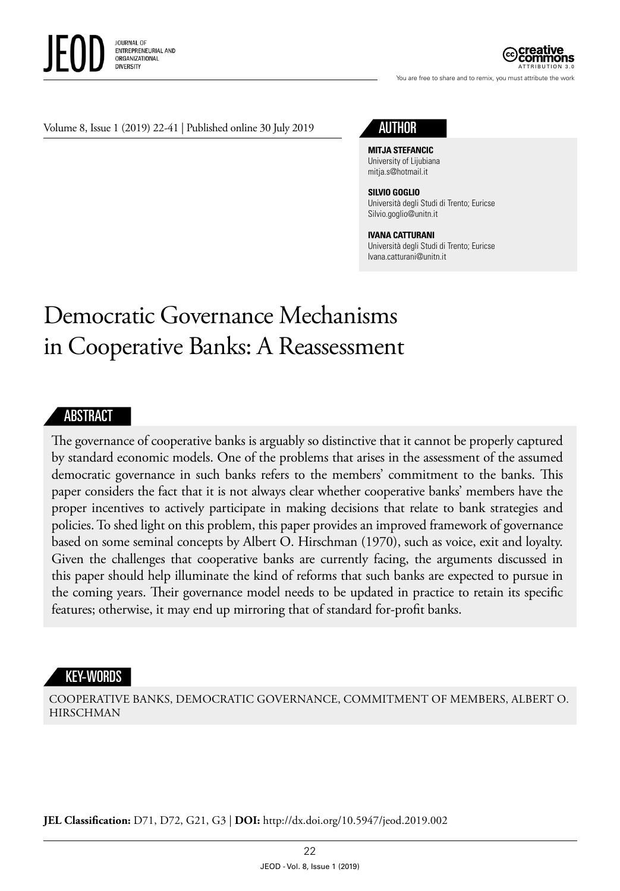

ATTRIBUTION 3.0

You are free to share and to remix, you must attribute the work

#### Volume 8, Issue 1 (2019) 22-41 | Published online 30 July 2019



**MITJA STEFANCIC** University of Lijubiana mitja.s@hotmail.it

#### **SILVIO GOGLIO**

Università degli Studi di Trento; Euricse Silvio.goglio@unitn.it

#### **IVANA CATTURANI**

Università degli Studi di Trento; Euricse Ivana.catturani@unitn.it

# Democratic Governance Mechanisms in Cooperative Banks: A Reassessment

#### **ABSTRACT**

The governance of cooperative banks is arguably so distinctive that it cannot be properly captured by standard economic models. One of the problems that arises in the assessment of the assumed democratic governance in such banks refers to the members' commitment to the banks. This paper considers the fact that it is not always clear whether cooperative banks' members have the proper incentives to actively participate in making decisions that relate to bank strategies and policies. To shed light on this problem, this paper provides an improved framework of governance based on some seminal concepts by Albert O. Hirschman (1970), such as voice, exit and loyalty. Given the challenges that cooperative banks are currently facing, the arguments discussed in this paper should help illuminate the kind of reforms that such banks are expected to pursue in the coming years. Their governance model needs to be updated in practice to retain its specific features; otherwise, it may end up mirroring that of standard for-profit banks.

#### KEY-WORDS

COOPERATIVE BANKS, DEMOCRATIC GOVERNANCE, COMMITMENT OF MEMBERS, ALBERT O. HIRSCHMAN

**JEL Classification:** D71, D72, G21, G3 | **DOI:** http://dx.doi.org/10.5947/jeod.2019.002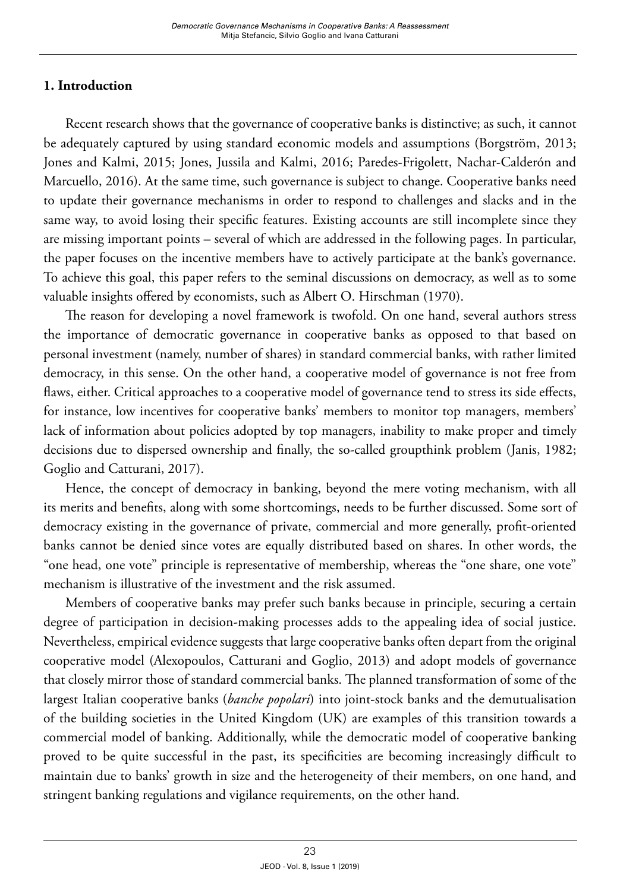# **1. Introduction**

Recent research shows that the governance of cooperative banks is distinctive; as such, it cannot be adequately captured by using standard economic models and assumptions (Borgström, 2013; Jones and Kalmi, 2015; Jones, Jussila and Kalmi, 2016; Paredes-Frigolett, Nachar-Calderón and Marcuello, 2016). At the same time, such governance is subject to change. Cooperative banks need to update their governance mechanisms in order to respond to challenges and slacks and in the same way, to avoid losing their specific features. Existing accounts are still incomplete since they are missing important points – several of which are addressed in the following pages. In particular, the paper focuses on the incentive members have to actively participate at the bank's governance. To achieve this goal, this paper refers to the seminal discussions on democracy, as well as to some valuable insights offered by economists, such as Albert O. Hirschman (1970).

The reason for developing a novel framework is twofold. On one hand, several authors stress the importance of democratic governance in cooperative banks as opposed to that based on personal investment (namely, number of shares) in standard commercial banks, with rather limited democracy, in this sense. On the other hand, a cooperative model of governance is not free from flaws, either. Critical approaches to a cooperative model of governance tend to stress its side effects, for instance, low incentives for cooperative banks' members to monitor top managers, members' lack of information about policies adopted by top managers, inability to make proper and timely decisions due to dispersed ownership and finally, the so-called groupthink problem (Janis, 1982; Goglio and Catturani, 2017).

Hence, the concept of democracy in banking, beyond the mere voting mechanism, with all its merits and benefits, along with some shortcomings, needs to be further discussed. Some sort of democracy existing in the governance of private, commercial and more generally, profit-oriented banks cannot be denied since votes are equally distributed based on shares. In other words, the "one head, one vote" principle is representative of membership, whereas the "one share, one vote" mechanism is illustrative of the investment and the risk assumed.

Members of cooperative banks may prefer such banks because in principle, securing a certain degree of participation in decision-making processes adds to the appealing idea of social justice. Nevertheless, empirical evidence suggests that large cooperative banks often depart from the original cooperative model (Alexopoulos, Catturani and Goglio, 2013) and adopt models of governance that closely mirror those of standard commercial banks. The planned transformation of some of the largest Italian cooperative banks (*banche popolari*) into joint-stock banks and the demutualisation of the building societies in the United Kingdom (UK) are examples of this transition towards a commercial model of banking. Additionally, while the democratic model of cooperative banking proved to be quite successful in the past, its specificities are becoming increasingly difficult to maintain due to banks' growth in size and the heterogeneity of their members, on one hand, and stringent banking regulations and vigilance requirements, on the other hand.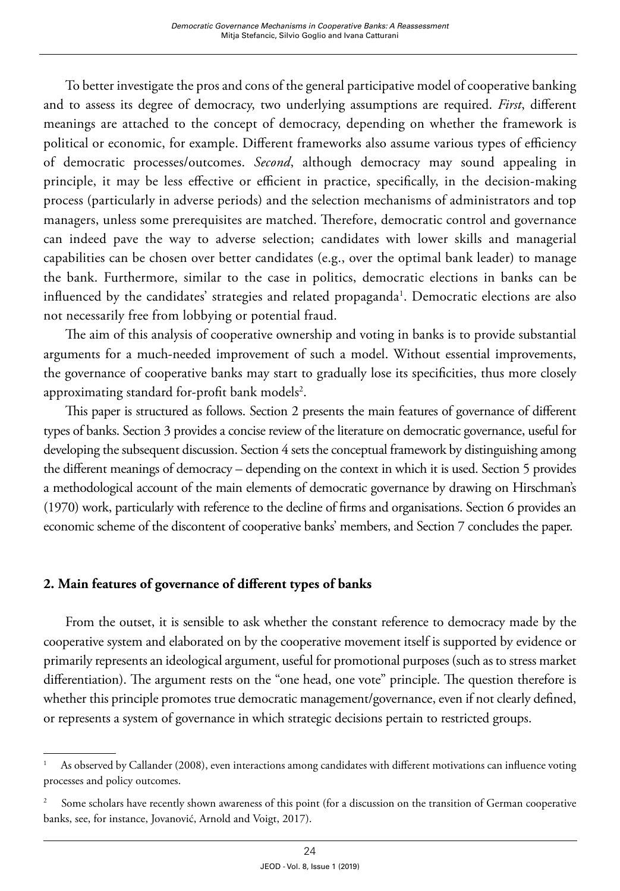To better investigate the pros and cons of the general participative model of cooperative banking and to assess its degree of democracy, two underlying assumptions are required. *First*, different meanings are attached to the concept of democracy, depending on whether the framework is political or economic, for example. Different frameworks also assume various types of efficiency of democratic processes/outcomes. *Second*, although democracy may sound appealing in principle, it may be less effective or efficient in practice, specifically, in the decision-making process (particularly in adverse periods) and the selection mechanisms of administrators and top managers, unless some prerequisites are matched. Therefore, democratic control and governance can indeed pave the way to adverse selection; candidates with lower skills and managerial capabilities can be chosen over better candidates (e.g., over the optimal bank leader) to manage the bank. Furthermore, similar to the case in politics, democratic elections in banks can be influenced by the candidates' strategies and related propaganda<sup>1</sup>. Democratic elections are also not necessarily free from lobbying or potential fraud.

The aim of this analysis of cooperative ownership and voting in banks is to provide substantial arguments for a much-needed improvement of such a model. Without essential improvements, the governance of cooperative banks may start to gradually lose its specificities, thus more closely approximating standard for-profit bank models $^2$ .

This paper is structured as follows. Section 2 presents the main features of governance of different types of banks. Section 3 provides a concise review of the literature on democratic governance, useful for developing the subsequent discussion. Section 4 sets the conceptual framework by distinguishing among the different meanings of democracy – depending on the context in which it is used. Section 5 provides a methodological account of the main elements of democratic governance by drawing on Hirschman's (1970) work, particularly with reference to the decline of firms and organisations. Section 6 provides an economic scheme of the discontent of cooperative banks' members, and Section 7 concludes the paper.

# **2. Main features of governance of different types of banks**

From the outset, it is sensible to ask whether the constant reference to democracy made by the cooperative system and elaborated on by the cooperative movement itself is supported by evidence or primarily represents an ideological argument, useful for promotional purposes (such as to stress market differentiation). The argument rests on the "one head, one vote" principle. The question therefore is whether this principle promotes true democratic management/governance, even if not clearly defined, or represents a system of governance in which strategic decisions pertain to restricted groups.

As observed by Callander (2008), even interactions among candidates with different motivations can influence voting processes and policy outcomes.

<sup>2</sup> Some scholars have recently shown awareness of this point (for a discussion on the transition of German cooperative banks, see, for instance, Jovanović, Arnold and Voigt, 2017).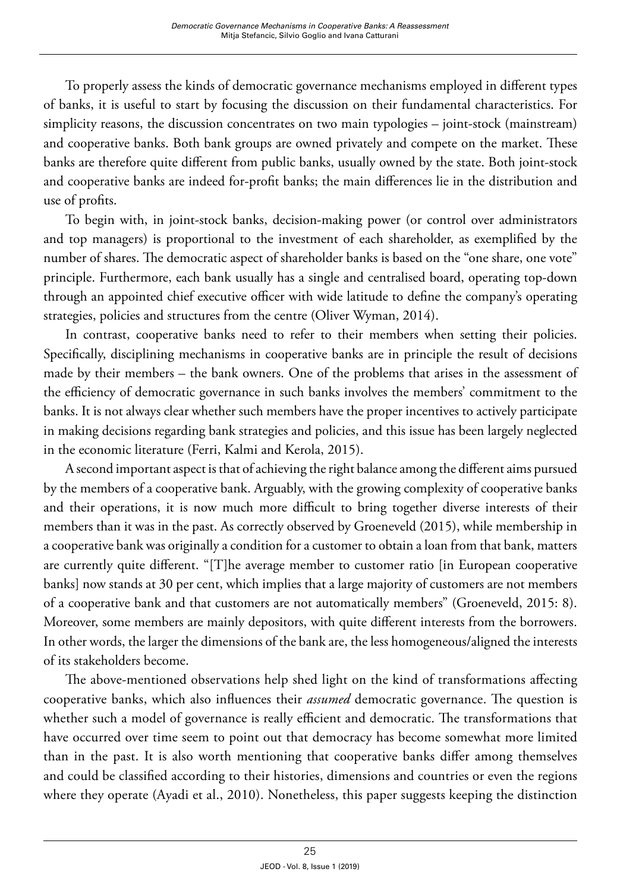To properly assess the kinds of democratic governance mechanisms employed in different types of banks, it is useful to start by focusing the discussion on their fundamental characteristics. For simplicity reasons, the discussion concentrates on two main typologies – joint-stock (mainstream) and cooperative banks. Both bank groups are owned privately and compete on the market. These banks are therefore quite different from public banks, usually owned by the state. Both joint-stock and cooperative banks are indeed for-profit banks; the main differences lie in the distribution and use of profits.

To begin with, in joint-stock banks, decision-making power (or control over administrators and top managers) is proportional to the investment of each shareholder, as exemplified by the number of shares. The democratic aspect of shareholder banks is based on the "one share, one vote" principle. Furthermore, each bank usually has a single and centralised board, operating top-down through an appointed chief executive officer with wide latitude to define the company's operating strategies, policies and structures from the centre (Oliver Wyman, 2014).

In contrast, cooperative banks need to refer to their members when setting their policies. Specifically, disciplining mechanisms in cooperative banks are in principle the result of decisions made by their members – the bank owners. One of the problems that arises in the assessment of the efficiency of democratic governance in such banks involves the members' commitment to the banks. It is not always clear whether such members have the proper incentives to actively participate in making decisions regarding bank strategies and policies, and this issue has been largely neglected in the economic literature (Ferri, Kalmi and Kerola, 2015).

A second important aspect is that of achieving the right balance among the different aims pursued by the members of a cooperative bank. Arguably, with the growing complexity of cooperative banks and their operations, it is now much more difficult to bring together diverse interests of their members than it was in the past. As correctly observed by Groeneveld (2015), while membership in a cooperative bank was originally a condition for a customer to obtain a loan from that bank, matters are currently quite different. "[T]he average member to customer ratio [in European cooperative banks] now stands at 30 per cent, which implies that a large majority of customers are not members of a cooperative bank and that customers are not automatically members" (Groeneveld, 2015: 8). Moreover, some members are mainly depositors, with quite different interests from the borrowers. In other words, the larger the dimensions of the bank are, the less homogeneous/aligned the interests of its stakeholders become.

The above-mentioned observations help shed light on the kind of transformations affecting cooperative banks, which also influences their *assumed* democratic governance. The question is whether such a model of governance is really efficient and democratic. The transformations that have occurred over time seem to point out that democracy has become somewhat more limited than in the past. It is also worth mentioning that cooperative banks differ among themselves and could be classified according to their histories, dimensions and countries or even the regions where they operate (Ayadi et al., 2010). Nonetheless, this paper suggests keeping the distinction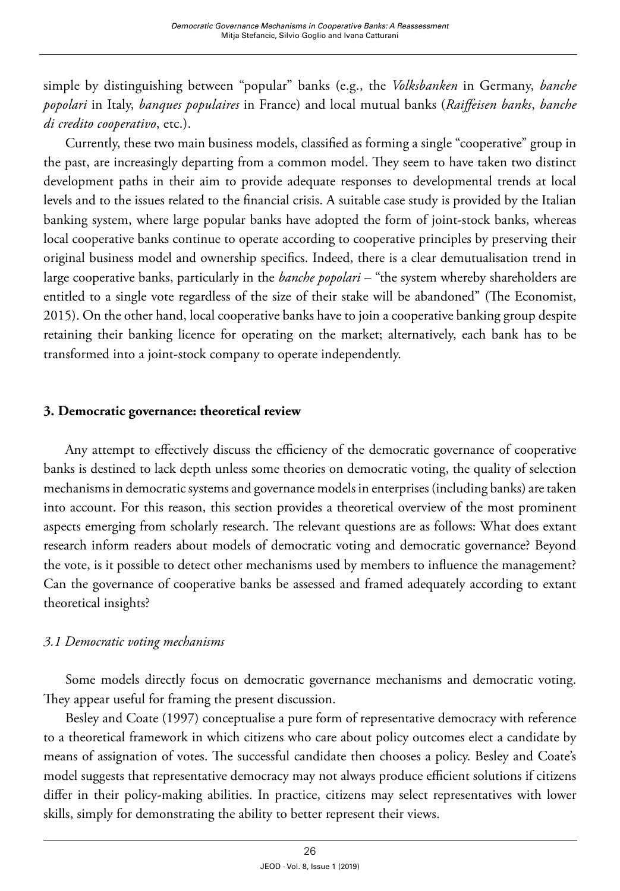simple by distinguishing between "popular" banks (e.g., the *Volksbanken* in Germany, *banche popolari* in Italy, *banques populaires* in France) and local mutual banks (*Raiffeisen banks*, *banche di credito cooperativo*, etc.).

Currently, these two main business models, classified as forming a single "cooperative" group in the past, are increasingly departing from a common model. They seem to have taken two distinct development paths in their aim to provide adequate responses to developmental trends at local levels and to the issues related to the financial crisis. A suitable case study is provided by the Italian banking system, where large popular banks have adopted the form of joint-stock banks, whereas local cooperative banks continue to operate according to cooperative principles by preserving their original business model and ownership specifics. Indeed, there is a clear demutualisation trend in large cooperative banks, particularly in the *banche popolari* – "the system whereby shareholders are entitled to a single vote regardless of the size of their stake will be abandoned" (The Economist, 2015). On the other hand, local cooperative banks have to join a cooperative banking group despite retaining their banking licence for operating on the market; alternatively, each bank has to be transformed into a joint-stock company to operate independently.

#### **3. Democratic governance: theoretical review**

Any attempt to effectively discuss the efficiency of the democratic governance of cooperative banks is destined to lack depth unless some theories on democratic voting, the quality of selection mechanisms in democratic systems and governance models in enterprises (including banks) are taken into account. For this reason, this section provides a theoretical overview of the most prominent aspects emerging from scholarly research. The relevant questions are as follows: What does extant research inform readers about models of democratic voting and democratic governance? Beyond the vote, is it possible to detect other mechanisms used by members to influence the management? Can the governance of cooperative banks be assessed and framed adequately according to extant theoretical insights?

## *3.1 Democratic voting mechanisms*

Some models directly focus on democratic governance mechanisms and democratic voting. They appear useful for framing the present discussion.

Besley and Coate (1997) conceptualise a pure form of representative democracy with reference to a theoretical framework in which citizens who care about policy outcomes elect a candidate by means of assignation of votes. The successful candidate then chooses a policy. Besley and Coate's model suggests that representative democracy may not always produce efficient solutions if citizens differ in their policy-making abilities. In practice, citizens may select representatives with lower skills, simply for demonstrating the ability to better represent their views.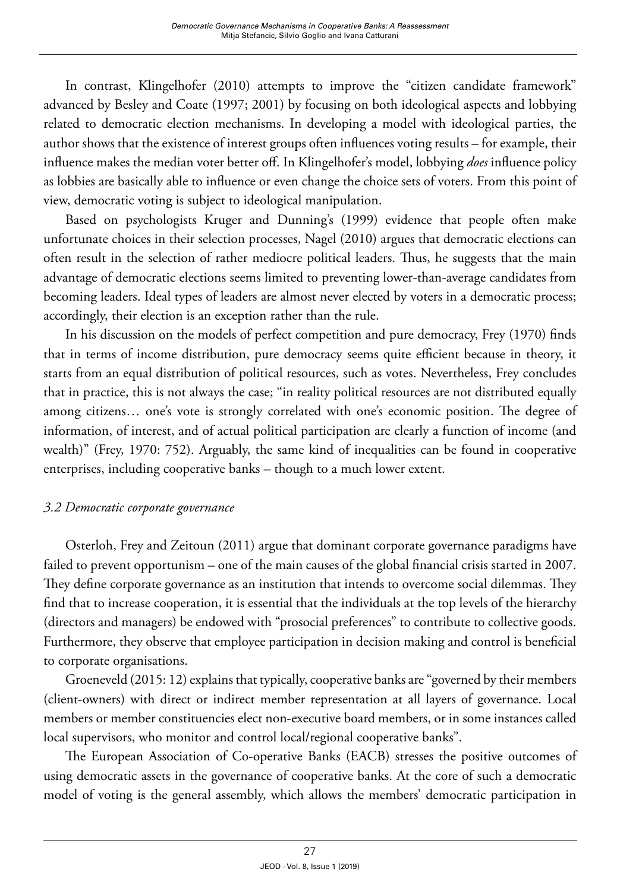In contrast, Klingelhofer (2010) attempts to improve the "citizen candidate framework" advanced by Besley and Coate (1997; 2001) by focusing on both ideological aspects and lobbying related to democratic election mechanisms. In developing a model with ideological parties, the author shows that the existence of interest groups often influences voting results – for example, their influence makes the median voter better off. In Klingelhofer's model, lobbying *does* influence policy as lobbies are basically able to influence or even change the choice sets of voters. From this point of view, democratic voting is subject to ideological manipulation.

Based on psychologists Kruger and Dunning's (1999) evidence that people often make unfortunate choices in their selection processes, Nagel (2010) argues that democratic elections can often result in the selection of rather mediocre political leaders. Thus, he suggests that the main advantage of democratic elections seems limited to preventing lower-than-average candidates from becoming leaders. Ideal types of leaders are almost never elected by voters in a democratic process; accordingly, their election is an exception rather than the rule.

In his discussion on the models of perfect competition and pure democracy, Frey (1970) finds that in terms of income distribution, pure democracy seems quite efficient because in theory, it starts from an equal distribution of political resources, such as votes. Nevertheless, Frey concludes that in practice, this is not always the case; "in reality political resources are not distributed equally among citizens… one's vote is strongly correlated with one's economic position. The degree of information, of interest, and of actual political participation are clearly a function of income (and wealth)" (Frey, 1970: 752). Arguably, the same kind of inequalities can be found in cooperative enterprises, including cooperative banks – though to a much lower extent.

## *3.2 Democratic corporate governance*

Osterloh, Frey and Zeitoun (2011) argue that dominant corporate governance paradigms have failed to prevent opportunism – one of the main causes of the global financial crisis started in 2007. They define corporate governance as an institution that intends to overcome social dilemmas. They find that to increase cooperation, it is essential that the individuals at the top levels of the hierarchy (directors and managers) be endowed with "prosocial preferences" to contribute to collective goods. Furthermore, they observe that employee participation in decision making and control is beneficial to corporate organisations.

Groeneveld (2015: 12) explains that typically, cooperative banks are "governed by their members (client-owners) with direct or indirect member representation at all layers of governance. Local members or member constituencies elect non-executive board members, or in some instances called local supervisors, who monitor and control local/regional cooperative banks".

The European Association of Co-operative Banks (EACB) stresses the positive outcomes of using democratic assets in the governance of cooperative banks. At the core of such a democratic model of voting is the general assembly, which allows the members' democratic participation in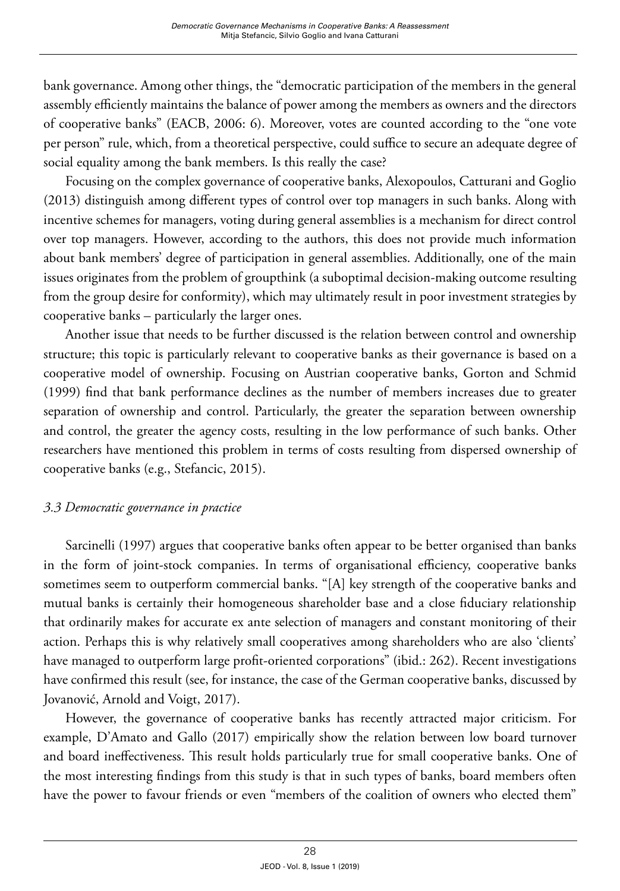bank governance. Among other things, the "democratic participation of the members in the general assembly efficiently maintains the balance of power among the members as owners and the directors of cooperative banks" (EACB, 2006: 6). Moreover, votes are counted according to the "one vote per person" rule, which, from a theoretical perspective, could suffice to secure an adequate degree of social equality among the bank members. Is this really the case?

Focusing on the complex governance of cooperative banks, Alexopoulos, Catturani and Goglio (2013) distinguish among different types of control over top managers in such banks. Along with incentive schemes for managers, voting during general assemblies is a mechanism for direct control over top managers. However, according to the authors, this does not provide much information about bank members' degree of participation in general assemblies. Additionally, one of the main issues originates from the problem of groupthink (a suboptimal decision-making outcome resulting from the group desire for conformity), which may ultimately result in poor investment strategies by cooperative banks – particularly the larger ones.

Another issue that needs to be further discussed is the relation between control and ownership structure; this topic is particularly relevant to cooperative banks as their governance is based on a cooperative model of ownership. Focusing on Austrian cooperative banks, Gorton and Schmid (1999) find that bank performance declines as the number of members increases due to greater separation of ownership and control. Particularly, the greater the separation between ownership and control, the greater the agency costs, resulting in the low performance of such banks. Other researchers have mentioned this problem in terms of costs resulting from dispersed ownership of cooperative banks (e.g., Stefancic, 2015).

## *3.3 Democratic governance in practice*

Sarcinelli (1997) argues that cooperative banks often appear to be better organised than banks in the form of joint-stock companies. In terms of organisational efficiency, cooperative banks sometimes seem to outperform commercial banks. "[A] key strength of the cooperative banks and mutual banks is certainly their homogeneous shareholder base and a close fiduciary relationship that ordinarily makes for accurate ex ante selection of managers and constant monitoring of their action. Perhaps this is why relatively small cooperatives among shareholders who are also 'clients' have managed to outperform large profit-oriented corporations" (ibid.: 262). Recent investigations have confirmed this result (see, for instance, the case of the German cooperative banks, discussed by Jovanović, Arnold and Voigt, 2017).

However, the governance of cooperative banks has recently attracted major criticism. For example, D'Amato and Gallo (2017) empirically show the relation between low board turnover and board ineffectiveness. This result holds particularly true for small cooperative banks. One of the most interesting findings from this study is that in such types of banks, board members often have the power to favour friends or even "members of the coalition of owners who elected them"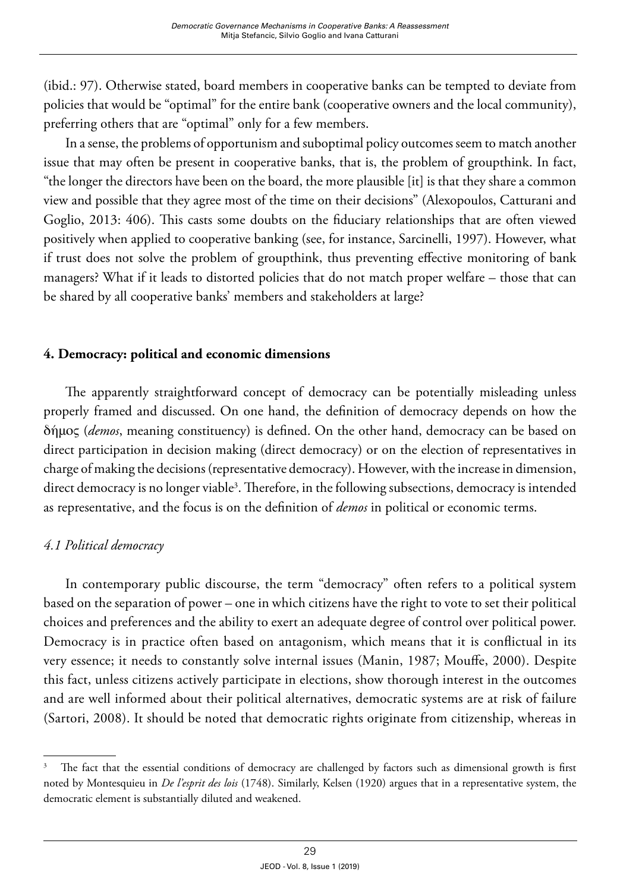(ibid.: 97). Otherwise stated, board members in cooperative banks can be tempted to deviate from policies that would be "optimal" for the entire bank (cooperative owners and the local community), preferring others that are "optimal" only for a few members.

In a sense, the problems of opportunism and suboptimal policy outcomes seem to match another issue that may often be present in cooperative banks, that is, the problem of groupthink. In fact, "the longer the directors have been on the board, the more plausible [it] is that they share a common view and possible that they agree most of the time on their decisions" (Alexopoulos, Catturani and Goglio, 2013: 406). This casts some doubts on the fiduciary relationships that are often viewed positively when applied to cooperative banking (see, for instance, Sarcinelli, 1997). However, what if trust does not solve the problem of groupthink, thus preventing effective monitoring of bank managers? What if it leads to distorted policies that do not match proper welfare – those that can be shared by all cooperative banks' members and stakeholders at large?

## **4. Democracy: political and economic dimensions**

The apparently straightforward concept of democracy can be potentially misleading unless properly framed and discussed. On one hand, the definition of democracy depends on how the δήμος (*demos*, meaning constituency) is defined. On the other hand, democracy can be based on direct participation in decision making (direct democracy) or on the election of representatives in charge of making the decisions (representative democracy). However, with the increase in dimension, direct democracy is no longer viable<sup>3</sup>. Therefore, in the following subsections, democracy is intended as representative, and the focus is on the definition of *demos* in political or economic terms.

## *4.1 Political democracy*

In contemporary public discourse, the term "democracy" often refers to a political system based on the separation of power – one in which citizens have the right to vote to set their political choices and preferences and the ability to exert an adequate degree of control over political power. Democracy is in practice often based on antagonism, which means that it is conflictual in its very essence; it needs to constantly solve internal issues (Manin, 1987; Mouffe, 2000). Despite this fact, unless citizens actively participate in elections, show thorough interest in the outcomes and are well informed about their political alternatives, democratic systems are at risk of failure (Sartori, 2008). It should be noted that democratic rights originate from citizenship, whereas in

<sup>&</sup>lt;sup>3</sup> The fact that the essential conditions of democracy are challenged by factors such as dimensional growth is first noted by Montesquieu in *De l'esprit des lois* (1748). Similarly, Kelsen (1920) argues that in a representative system, the democratic element is substantially diluted and weakened.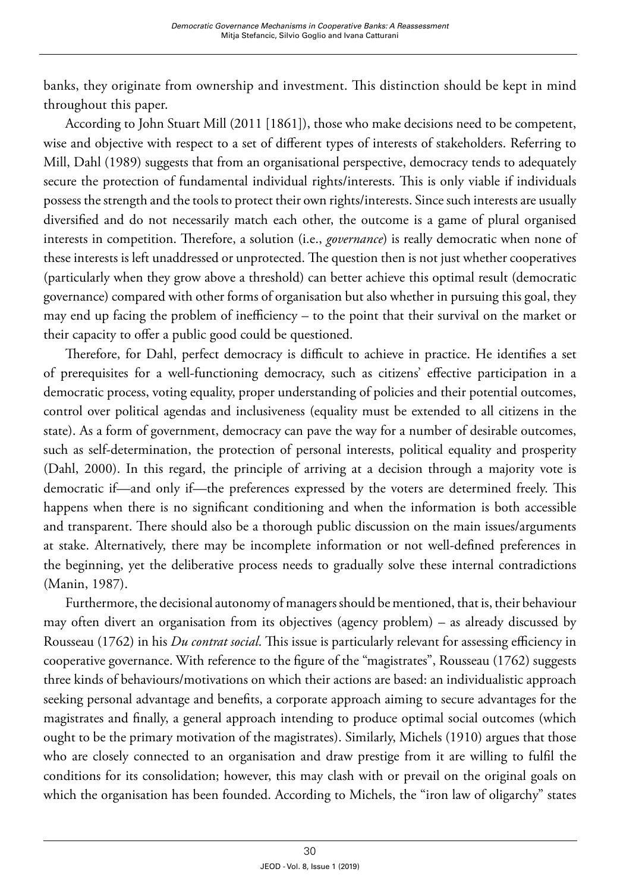banks, they originate from ownership and investment. This distinction should be kept in mind throughout this paper.

According to John Stuart Mill (2011 [1861]), those who make decisions need to be competent, wise and objective with respect to a set of different types of interests of stakeholders. Referring to Mill, Dahl (1989) suggests that from an organisational perspective, democracy tends to adequately secure the protection of fundamental individual rights/interests. This is only viable if individuals possess the strength and the tools to protect their own rights/interests. Since such interests are usually diversified and do not necessarily match each other, the outcome is a game of plural organised interests in competition. Therefore, a solution (i.e., *governance*) is really democratic when none of these interests is left unaddressed or unprotected. The question then is not just whether cooperatives (particularly when they grow above a threshold) can better achieve this optimal result (democratic governance) compared with other forms of organisation but also whether in pursuing this goal, they may end up facing the problem of inefficiency – to the point that their survival on the market or their capacity to offer a public good could be questioned.

Therefore, for Dahl, perfect democracy is difficult to achieve in practice. He identifies a set of prerequisites for a well-functioning democracy, such as citizens' effective participation in a democratic process, voting equality, proper understanding of policies and their potential outcomes, control over political agendas and inclusiveness (equality must be extended to all citizens in the state). As a form of government, democracy can pave the way for a number of desirable outcomes, such as self-determination, the protection of personal interests, political equality and prosperity (Dahl, 2000). In this regard, the principle of arriving at a decision through a majority vote is democratic if—and only if—the preferences expressed by the voters are determined freely. This happens when there is no significant conditioning and when the information is both accessible and transparent. There should also be a thorough public discussion on the main issues/arguments at stake. Alternatively, there may be incomplete information or not well-defined preferences in the beginning, yet the deliberative process needs to gradually solve these internal contradictions (Manin, 1987).

Furthermore, the decisional autonomy of managers should be mentioned, that is, their behaviour may often divert an organisation from its objectives (agency problem) – as already discussed by Rousseau (1762) in his *Du contrat social*. This issue is particularly relevant for assessing efficiency in cooperative governance. With reference to the figure of the "magistrates", Rousseau (1762) suggests three kinds of behaviours/motivations on which their actions are based: an individualistic approach seeking personal advantage and benefits, a corporate approach aiming to secure advantages for the magistrates and finally, a general approach intending to produce optimal social outcomes (which ought to be the primary motivation of the magistrates). Similarly, Michels (1910) argues that those who are closely connected to an organisation and draw prestige from it are willing to fulfil the conditions for its consolidation; however, this may clash with or prevail on the original goals on which the organisation has been founded. According to Michels, the "iron law of oligarchy" states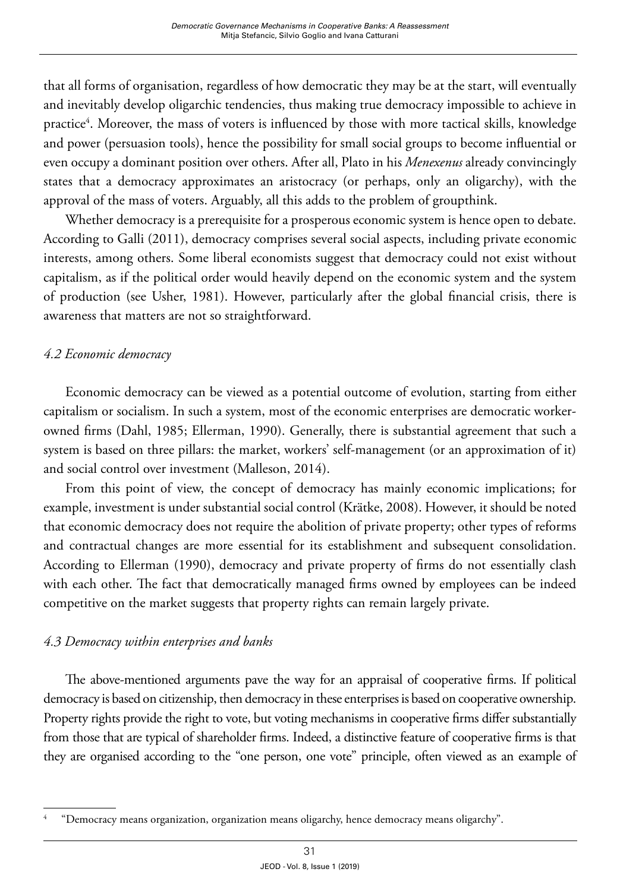that all forms of organisation, regardless of how democratic they may be at the start, will eventually and inevitably develop oligarchic tendencies, thus making true democracy impossible to achieve in practice<sup>4</sup>. Moreover, the mass of voters is influenced by those with more tactical skills, knowledge and power (persuasion tools), hence the possibility for small social groups to become influential or even occupy a dominant position over others. After all, Plato in his *Menexenus* already convincingly states that a democracy approximates an aristocracy (or perhaps, only an oligarchy), with the approval of the mass of voters. Arguably, all this adds to the problem of groupthink.

Whether democracy is a prerequisite for a prosperous economic system is hence open to debate. According to Galli (2011), democracy comprises several social aspects, including private economic interests, among others. Some liberal economists suggest that democracy could not exist without capitalism, as if the political order would heavily depend on the economic system and the system of production (see Usher, 1981). However, particularly after the global financial crisis, there is awareness that matters are not so straightforward.

# *4.2 Economic democracy*

Economic democracy can be viewed as a potential outcome of evolution, starting from either capitalism or socialism. In such a system, most of the economic enterprises are democratic workerowned firms (Dahl, 1985; Ellerman, 1990). Generally, there is substantial agreement that such a system is based on three pillars: the market, workers' self-management (or an approximation of it) and social control over investment (Malleson, 2014).

From this point of view, the concept of democracy has mainly economic implications; for example, investment is under substantial social control (Krätke, 2008). However, it should be noted that economic democracy does not require the abolition of private property; other types of reforms and contractual changes are more essential for its establishment and subsequent consolidation. According to Ellerman (1990), democracy and private property of firms do not essentially clash with each other. The fact that democratically managed firms owned by employees can be indeed competitive on the market suggests that property rights can remain largely private.

# *4.3 Democracy within enterprises and banks*

The above-mentioned arguments pave the way for an appraisal of cooperative firms. If political democracy is based on citizenship, then democracy in these enterprises is based on cooperative ownership. Property rights provide the right to vote, but voting mechanisms in cooperative firms differ substantially from those that are typical of shareholder firms. Indeed, a distinctive feature of cooperative firms is that they are organised according to the "one person, one vote" principle, often viewed as an example of

<sup>4 &</sup>quot;Democracy means organization, organization means oligarchy, hence democracy means oligarchy".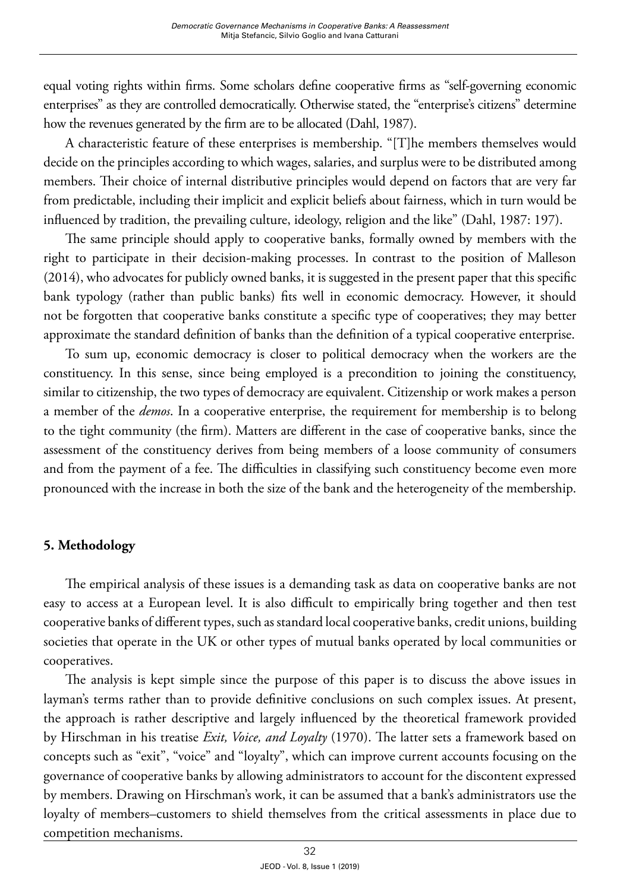equal voting rights within firms. Some scholars define cooperative firms as "self-governing economic enterprises" as they are controlled democratically. Otherwise stated, the "enterprise's citizens" determine how the revenues generated by the firm are to be allocated (Dahl, 1987).

A characteristic feature of these enterprises is membership. "[T]he members themselves would decide on the principles according to which wages, salaries, and surplus were to be distributed among members. Their choice of internal distributive principles would depend on factors that are very far from predictable, including their implicit and explicit beliefs about fairness, which in turn would be influenced by tradition, the prevailing culture, ideology, religion and the like" (Dahl, 1987: 197).

The same principle should apply to cooperative banks, formally owned by members with the right to participate in their decision-making processes. In contrast to the position of Malleson (2014), who advocates for publicly owned banks, it is suggested in the present paper that this specific bank typology (rather than public banks) fits well in economic democracy. However, it should not be forgotten that cooperative banks constitute a specific type of cooperatives; they may better approximate the standard definition of banks than the definition of a typical cooperative enterprise.

To sum up, economic democracy is closer to political democracy when the workers are the constituency. In this sense, since being employed is a precondition to joining the constituency, similar to citizenship, the two types of democracy are equivalent. Citizenship or work makes a person a member of the *demos*. In a cooperative enterprise, the requirement for membership is to belong to the tight community (the firm). Matters are different in the case of cooperative banks, since the assessment of the constituency derives from being members of a loose community of consumers and from the payment of a fee. The difficulties in classifying such constituency become even more pronounced with the increase in both the size of the bank and the heterogeneity of the membership.

# **5. Methodology**

The empirical analysis of these issues is a demanding task as data on cooperative banks are not easy to access at a European level. It is also difficult to empirically bring together and then test cooperative banks of different types, such as standard local cooperative banks, credit unions, building societies that operate in the UK or other types of mutual banks operated by local communities or cooperatives.

The analysis is kept simple since the purpose of this paper is to discuss the above issues in layman's terms rather than to provide definitive conclusions on such complex issues. At present, the approach is rather descriptive and largely influenced by the theoretical framework provided by Hirschman in his treatise *Exit, Voice, and Loyalty* (1970). The latter sets a framework based on concepts such as "exit", "voice" and "loyalty", which can improve current accounts focusing on the governance of cooperative banks by allowing administrators to account for the discontent expressed by members. Drawing on Hirschman's work, it can be assumed that a bank's administrators use the loyalty of members–customers to shield themselves from the critical assessments in place due to competition mechanisms.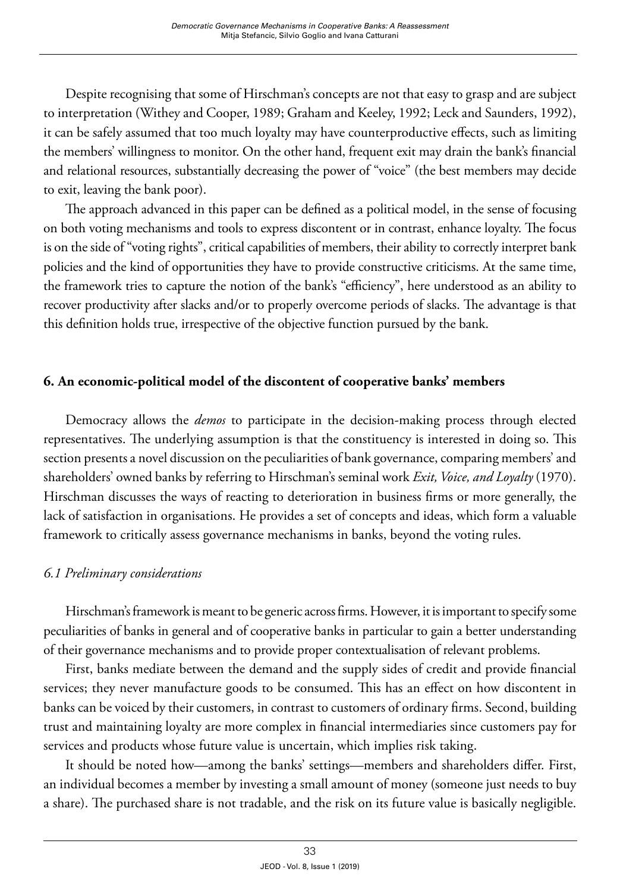Despite recognising that some of Hirschman's concepts are not that easy to grasp and are subject to interpretation (Withey and Cooper, 1989; Graham and Keeley, 1992; Leck and Saunders, 1992), it can be safely assumed that too much loyalty may have counterproductive effects, such as limiting the members' willingness to monitor. On the other hand, frequent exit may drain the bank's financial and relational resources, substantially decreasing the power of "voice" (the best members may decide to exit, leaving the bank poor).

The approach advanced in this paper can be defined as a political model, in the sense of focusing on both voting mechanisms and tools to express discontent or in contrast, enhance loyalty. The focus is on the side of "voting rights", critical capabilities of members, their ability to correctly interpret bank policies and the kind of opportunities they have to provide constructive criticisms. At the same time, the framework tries to capture the notion of the bank's "efficiency", here understood as an ability to recover productivity after slacks and/or to properly overcome periods of slacks. The advantage is that this definition holds true, irrespective of the objective function pursued by the bank.

# **6. An economic-political model of the discontent of cooperative banks' members**

Democracy allows the *demos* to participate in the decision-making process through elected representatives. The underlying assumption is that the constituency is interested in doing so. This section presents a novel discussion on the peculiarities of bank governance, comparing members' and shareholders' owned banks by referring to Hirschman's seminal work *Exit, Voice, and Loyalty* (1970). Hirschman discusses the ways of reacting to deterioration in business firms or more generally, the lack of satisfaction in organisations. He provides a set of concepts and ideas, which form a valuable framework to critically assess governance mechanisms in banks, beyond the voting rules.

## *6.1 Preliminary considerations*

Hirschman's framework is meant to be generic across firms. However, it is important to specify some peculiarities of banks in general and of cooperative banks in particular to gain a better understanding of their governance mechanisms and to provide proper contextualisation of relevant problems.

First, banks mediate between the demand and the supply sides of credit and provide financial services; they never manufacture goods to be consumed. This has an effect on how discontent in banks can be voiced by their customers, in contrast to customers of ordinary firms. Second, building trust and maintaining loyalty are more complex in financial intermediaries since customers pay for services and products whose future value is uncertain, which implies risk taking.

It should be noted how—among the banks' settings—members and shareholders differ. First, an individual becomes a member by investing a small amount of money (someone just needs to buy a share). The purchased share is not tradable, and the risk on its future value is basically negligible.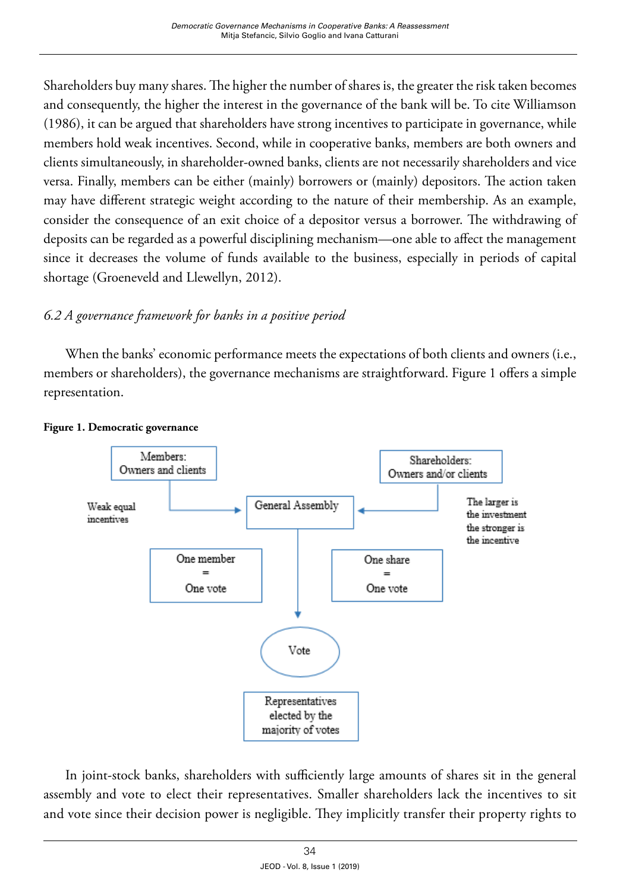Shareholders buy many shares. The higher the number of shares is, the greater the risk taken becomes and consequently, the higher the interest in the governance of the bank will be. To cite Williamson (1986), it can be argued that shareholders have strong incentives to participate in governance, while members hold weak incentives. Second, while in cooperative banks, members are both owners and clients simultaneously, in shareholder-owned banks, clients are not necessarily shareholders and vice versa. Finally, members can be either (mainly) borrowers or (mainly) depositors. The action taken may have different strategic weight according to the nature of their membership. As an example, consider the consequence of an exit choice of a depositor versus a borrower. The withdrawing of deposits can be regarded as a powerful disciplining mechanism—one able to affect the management since it decreases the volume of funds available to the business, especially in periods of capital shortage (Groeneveld and Llewellyn, 2012).

# *6.2 A governance framework for banks in a positive period*

When the banks' economic performance meets the expectations of both clients and owners (i.e., members or shareholders), the governance mechanisms are straightforward. Figure 1 offers a simple representation.



#### **Figure 1. Democratic governance**

In joint-stock banks, shareholders with sufficiently large amounts of shares sit in the general assembly and vote to elect their representatives. Smaller shareholders lack the incentives to sit and vote since their decision power is negligible. They implicitly transfer their property rights to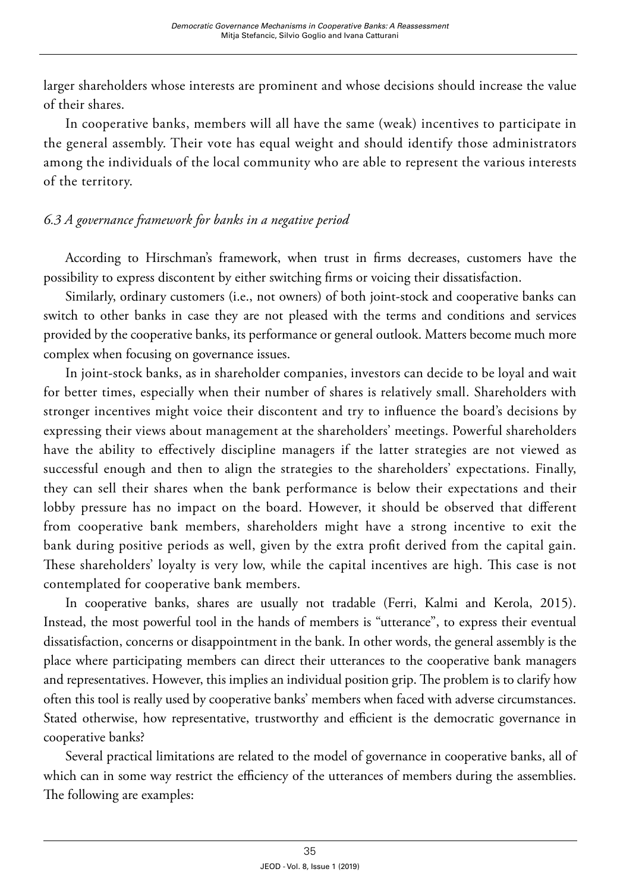larger shareholders whose interests are prominent and whose decisions should increase the value of their shares.

In cooperative banks, members will all have the same (weak) incentives to participate in the general assembly. Their vote has equal weight and should identify those administrators among the individuals of the local community who are able to represent the various interests of the territory.

# *6.3 A governance framework for banks in a negative period*

According to Hirschman's framework, when trust in firms decreases, customers have the possibility to express discontent by either switching firms or voicing their dissatisfaction.

Similarly, ordinary customers (i.e., not owners) of both joint-stock and cooperative banks can switch to other banks in case they are not pleased with the terms and conditions and services provided by the cooperative banks, its performance or general outlook. Matters become much more complex when focusing on governance issues.

In joint-stock banks, as in shareholder companies, investors can decide to be loyal and wait for better times, especially when their number of shares is relatively small. Shareholders with stronger incentives might voice their discontent and try to influence the board's decisions by expressing their views about management at the shareholders' meetings. Powerful shareholders have the ability to effectively discipline managers if the latter strategies are not viewed as successful enough and then to align the strategies to the shareholders' expectations. Finally, they can sell their shares when the bank performance is below their expectations and their lobby pressure has no impact on the board. However, it should be observed that different from cooperative bank members, shareholders might have a strong incentive to exit the bank during positive periods as well, given by the extra profit derived from the capital gain. These shareholders' loyalty is very low, while the capital incentives are high. This case is not contemplated for cooperative bank members.

In cooperative banks, shares are usually not tradable (Ferri, Kalmi and Kerola, 2015). Instead, the most powerful tool in the hands of members is "utterance", to express their eventual dissatisfaction, concerns or disappointment in the bank. In other words, the general assembly is the place where participating members can direct their utterances to the cooperative bank managers and representatives. However, this implies an individual position grip. The problem is to clarify how often this tool is really used by cooperative banks' members when faced with adverse circumstances. Stated otherwise, how representative, trustworthy and efficient is the democratic governance in cooperative banks?

Several practical limitations are related to the model of governance in cooperative banks, all of which can in some way restrict the efficiency of the utterances of members during the assemblies. The following are examples: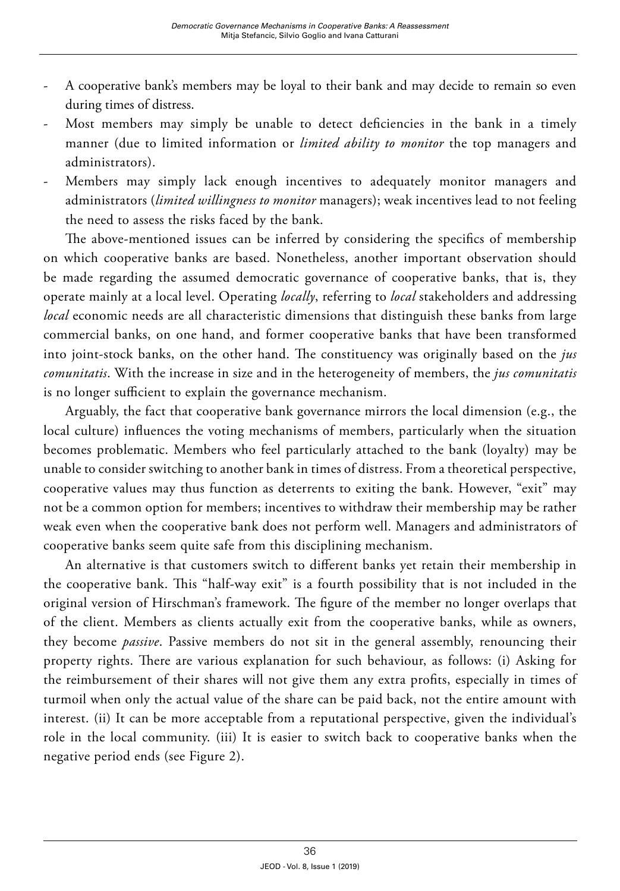- A cooperative bank's members may be loyal to their bank and may decide to remain so even during times of distress.
- Most members may simply be unable to detect deficiencies in the bank in a timely manner (due to limited information or *limited ability to monitor* the top managers and administrators).
- Members may simply lack enough incentives to adequately monitor managers and administrators (*limited willingness to monitor* managers); weak incentives lead to not feeling the need to assess the risks faced by the bank.

The above-mentioned issues can be inferred by considering the specifics of membership on which cooperative banks are based. Nonetheless, another important observation should be made regarding the assumed democratic governance of cooperative banks, that is, they operate mainly at a local level. Operating *locally*, referring to *local* stakeholders and addressing *local* economic needs are all characteristic dimensions that distinguish these banks from large commercial banks, on one hand, and former cooperative banks that have been transformed into joint-stock banks, on the other hand. The constituency was originally based on the *jus comunitatis*. With the increase in size and in the heterogeneity of members, the *jus comunitatis* is no longer sufficient to explain the governance mechanism.

Arguably, the fact that cooperative bank governance mirrors the local dimension (e.g., the local culture) influences the voting mechanisms of members, particularly when the situation becomes problematic. Members who feel particularly attached to the bank (loyalty) may be unable to consider switching to another bank in times of distress. From a theoretical perspective, cooperative values may thus function as deterrents to exiting the bank. However, "exit" may not be a common option for members; incentives to withdraw their membership may be rather weak even when the cooperative bank does not perform well. Managers and administrators of cooperative banks seem quite safe from this disciplining mechanism.

An alternative is that customers switch to different banks yet retain their membership in the cooperative bank. This "half-way exit" is a fourth possibility that is not included in the original version of Hirschman's framework. The figure of the member no longer overlaps that of the client. Members as clients actually exit from the cooperative banks, while as owners, they become *passive*. Passive members do not sit in the general assembly, renouncing their property rights. There are various explanation for such behaviour, as follows: (i) Asking for the reimbursement of their shares will not give them any extra profits, especially in times of turmoil when only the actual value of the share can be paid back, not the entire amount with interest. (ii) It can be more acceptable from a reputational perspective, given the individual's role in the local community. (iii) It is easier to switch back to cooperative banks when the negative period ends (see Figure 2).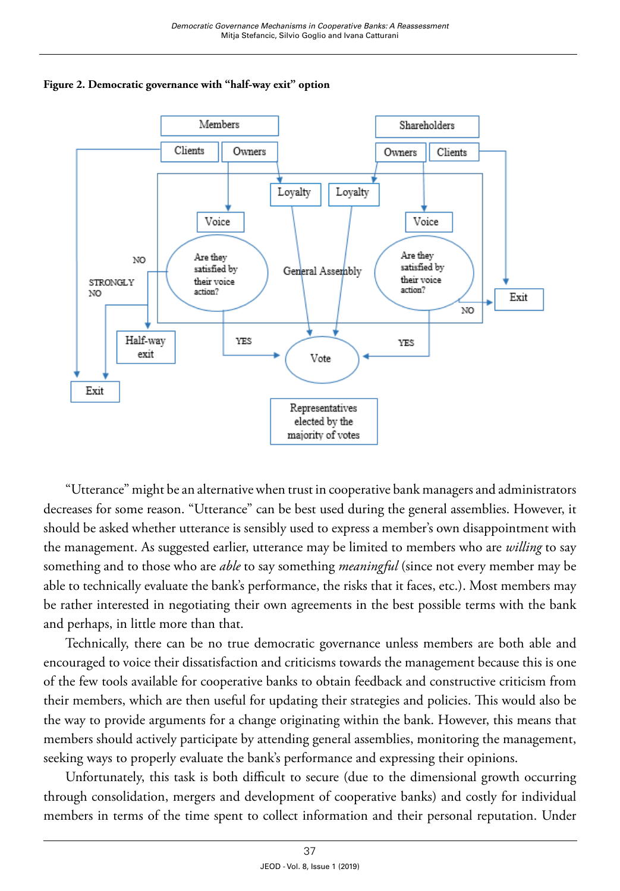

**Figure 2. Democratic governance with "half-way exit" option**

"Utterance" might be an alternative when trust in cooperative bank managers and administrators decreases for some reason. "Utterance" can be best used during the general assemblies. However, it should be asked whether utterance is sensibly used to express a member's own disappointment with the management. As suggested earlier, utterance may be limited to members who are *willing* to say something and to those who are *able* to say something *meaningful* (since not every member may be able to technically evaluate the bank's performance, the risks that it faces, etc.). Most members may be rather interested in negotiating their own agreements in the best possible terms with the bank and perhaps, in little more than that.

Technically, there can be no true democratic governance unless members are both able and encouraged to voice their dissatisfaction and criticisms towards the management because this is one of the few tools available for cooperative banks to obtain feedback and constructive criticism from their members, which are then useful for updating their strategies and policies. This would also be the way to provide arguments for a change originating within the bank. However, this means that members should actively participate by attending general assemblies, monitoring the management, seeking ways to properly evaluate the bank's performance and expressing their opinions.

Unfortunately, this task is both difficult to secure (due to the dimensional growth occurring through consolidation, mergers and development of cooperative banks) and costly for individual members in terms of the time spent to collect information and their personal reputation. Under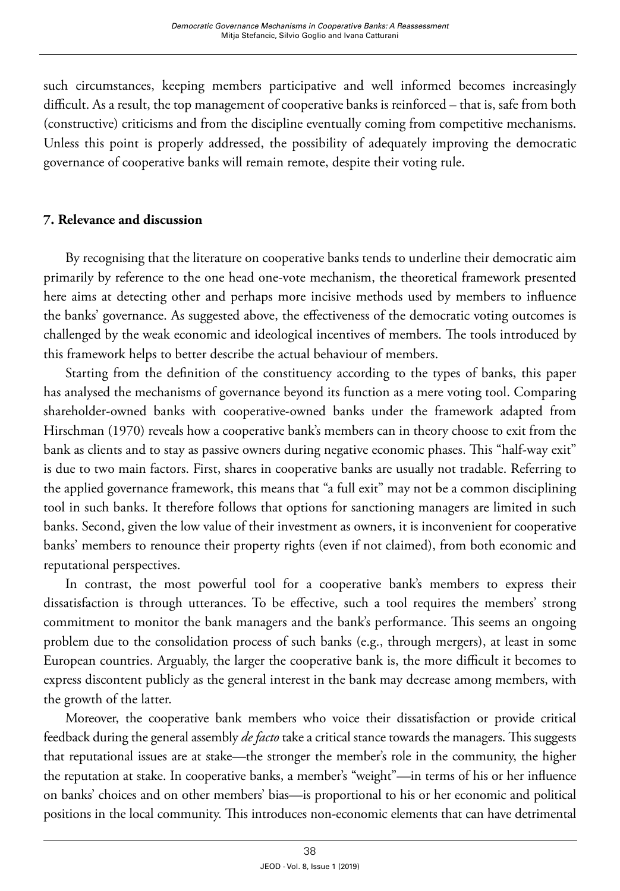such circumstances, keeping members participative and well informed becomes increasingly difficult. As a result, the top management of cooperative banks is reinforced – that is, safe from both (constructive) criticisms and from the discipline eventually coming from competitive mechanisms. Unless this point is properly addressed, the possibility of adequately improving the democratic governance of cooperative banks will remain remote, despite their voting rule.

# **7. Relevance and discussion**

By recognising that the literature on cooperative banks tends to underline their democratic aim primarily by reference to the one head one-vote mechanism, the theoretical framework presented here aims at detecting other and perhaps more incisive methods used by members to influence the banks' governance. As suggested above, the effectiveness of the democratic voting outcomes is challenged by the weak economic and ideological incentives of members. The tools introduced by this framework helps to better describe the actual behaviour of members.

Starting from the definition of the constituency according to the types of banks, this paper has analysed the mechanisms of governance beyond its function as a mere voting tool. Comparing shareholder-owned banks with cooperative-owned banks under the framework adapted from Hirschman (1970) reveals how a cooperative bank's members can in theory choose to exit from the bank as clients and to stay as passive owners during negative economic phases. This "half-way exit" is due to two main factors. First, shares in cooperative banks are usually not tradable. Referring to the applied governance framework, this means that "a full exit" may not be a common disciplining tool in such banks. It therefore follows that options for sanctioning managers are limited in such banks. Second, given the low value of their investment as owners, it is inconvenient for cooperative banks' members to renounce their property rights (even if not claimed), from both economic and reputational perspectives.

In contrast, the most powerful tool for a cooperative bank's members to express their dissatisfaction is through utterances. To be effective, such a tool requires the members' strong commitment to monitor the bank managers and the bank's performance. This seems an ongoing problem due to the consolidation process of such banks (e.g., through mergers), at least in some European countries. Arguably, the larger the cooperative bank is, the more difficult it becomes to express discontent publicly as the general interest in the bank may decrease among members, with the growth of the latter.

Moreover, the cooperative bank members who voice their dissatisfaction or provide critical feedback during the general assembly *de facto* take a critical stance towards the managers. This suggests that reputational issues are at stake—the stronger the member's role in the community, the higher the reputation at stake. In cooperative banks, a member's "weight"—in terms of his or her influence on banks' choices and on other members' bias—is proportional to his or her economic and political positions in the local community. This introduces non-economic elements that can have detrimental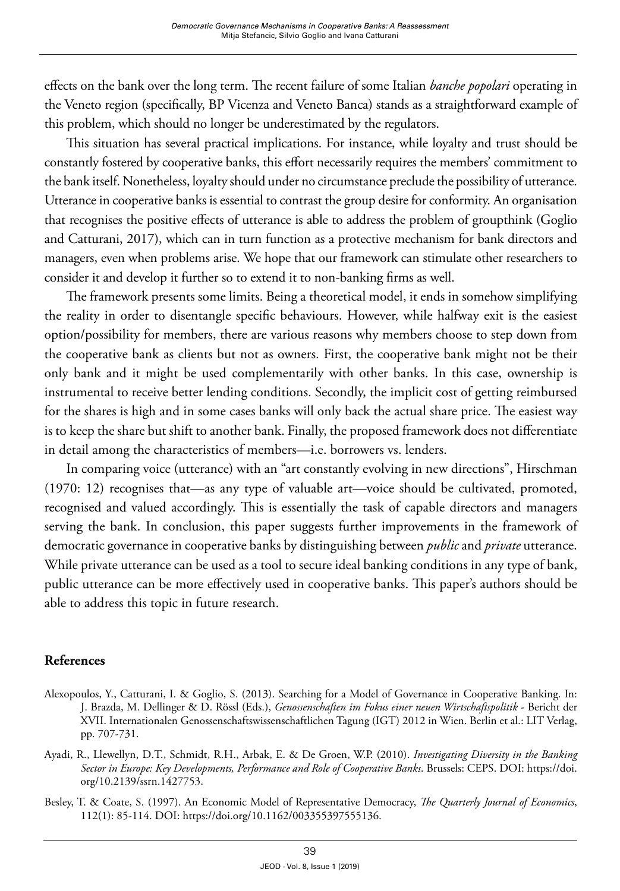effects on the bank over the long term. The recent failure of some Italian *banche popolari* operating in the Veneto region (specifically, BP Vicenza and Veneto Banca) stands as a straightforward example of this problem, which should no longer be underestimated by the regulators.

This situation has several practical implications. For instance, while loyalty and trust should be constantly fostered by cooperative banks, this effort necessarily requires the members' commitment to the bank itself. Nonetheless, loyalty should under no circumstance preclude the possibility of utterance. Utterance in cooperative banks is essential to contrast the group desire for conformity. An organisation that recognises the positive effects of utterance is able to address the problem of groupthink (Goglio and Catturani, 2017), which can in turn function as a protective mechanism for bank directors and managers, even when problems arise. We hope that our framework can stimulate other researchers to consider it and develop it further so to extend it to non-banking firms as well.

The framework presents some limits. Being a theoretical model, it ends in somehow simplifying the reality in order to disentangle specific behaviours. However, while halfway exit is the easiest option/possibility for members, there are various reasons why members choose to step down from the cooperative bank as clients but not as owners. First, the cooperative bank might not be their only bank and it might be used complementarily with other banks. In this case, ownership is instrumental to receive better lending conditions. Secondly, the implicit cost of getting reimbursed for the shares is high and in some cases banks will only back the actual share price. The easiest way is to keep the share but shift to another bank. Finally, the proposed framework does not differentiate in detail among the characteristics of members—i.e. borrowers vs. lenders.

In comparing voice (utterance) with an "art constantly evolving in new directions", Hirschman (1970: 12) recognises that—as any type of valuable art—voice should be cultivated, promoted, recognised and valued accordingly. This is essentially the task of capable directors and managers serving the bank. In conclusion, this paper suggests further improvements in the framework of democratic governance in cooperative banks by distinguishing between *public* and *private* utterance. While private utterance can be used as a tool to secure ideal banking conditions in any type of bank, public utterance can be more effectively used in cooperative banks. This paper's authors should be able to address this topic in future research.

# **References**

- Alexopoulos, Y., Catturani, I. & Goglio, S. (2013). Searching for a Model of Governance in Cooperative Banking. In: J. Brazda, M. Dellinger & D. Rössl (Eds.), *Genossenschaften im Fokus einer neuen Wirtschaftspolitik* - Bericht der XVII. Internationalen Genossenschaftswissenschaftlichen Tagung (IGT) 2012 in Wien. Berlin et al.: LIT Verlag, pp. 707-731.
- Ayadi, R., Llewellyn, D.T., Schmidt, R.H., Arbak, E. & De Groen, W.P. (2010). *Investigating Diversity in the Banking Sector in Europe: Key Developments, Performance and Role of Cooperative Banks*. Brussels: CEPS. DOI: [https://doi.](https://doi.org/10.2139/ssrn.1427753) [org/10.2139/ssrn.1427753.](https://doi.org/10.2139/ssrn.1427753)
- Besley, T. & Coate, S. (1997). An Economic Model of Representative Democracy, *The Quarterly Journal of Economics*, 112(1): 85-114. DOI: <https://doi.org/10.1162/003355397555136>.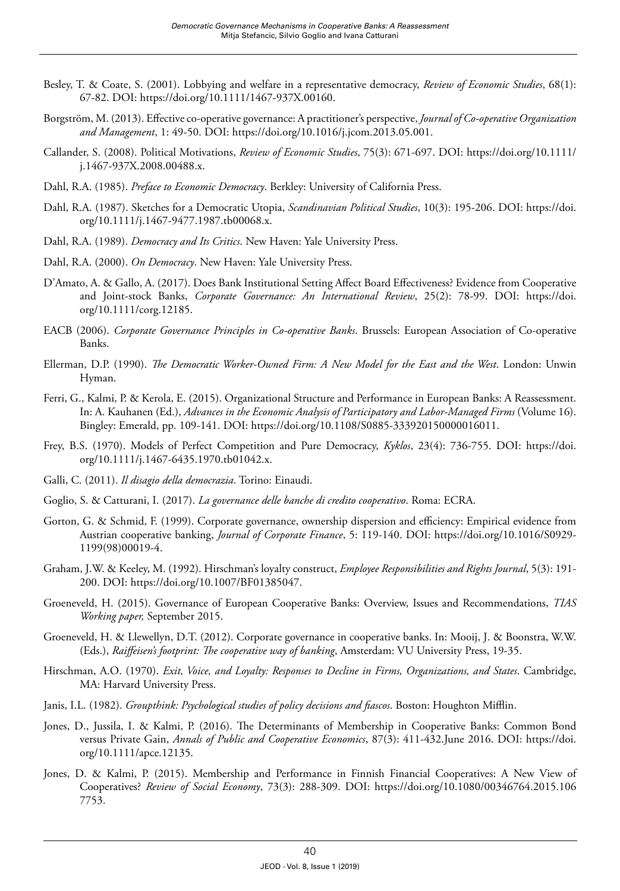- Besley, T. & Coate, S. (2001). Lobbying and welfare in a representative democracy, *Review of Economic Studies*, 68(1): 67-82. DOI:<https://doi.org/10.1111/1467-937X.00160>.
- Borgström, M. (2013). Effective co-operative governance: A practitioner's perspective, *Journal of Co-operative Organization and Management*, 1: 49-50. DOI: <https://doi.org/10.1016/j.jcom.2013.05.001>.
- Callander, S. (2008). Political Motivations, *Review of Economic Studies*, 75(3): 671-697. DOI: [https://doi.org/10.1111/](https://doi.org/10.1111/j.1467-937X.2008.00488.x) [j.1467-937X.2008.00488.x](https://doi.org/10.1111/j.1467-937X.2008.00488.x).
- Dahl, R.A. (1985). *Preface to Economic Democracy*. Berkley: University of California Press.
- Dahl, R.A. (1987). Sketches for a Democratic Utopia, *Scandinavian Political Studies*, 10(3): 195-206. DOI: [https://doi.](https://doi.org/10.1111/j.1467-9477.1987.tb00068.x) [org/10.1111/j.1467-9477.1987.tb00068.x.](https://doi.org/10.1111/j.1467-9477.1987.tb00068.x)
- Dahl, R.A. (1989). *Democracy and Its Critics*. New Haven: Yale University Press.
- Dahl, R.A. (2000). *On Democracy*. New Haven: Yale University Press.
- D'Amato, A. & Gallo, A. (2017). Does Bank Institutional Setting Affect Board Effectiveness? Evidence from Cooperative and Joint-stock Banks, *Corporate Governance: An International Review*, 25(2): 78-99. DOI: [https://doi.](https://doi.org/10.1111/corg.12185) [org/10.1111/corg.12185.](https://doi.org/10.1111/corg.12185)
- EACB (2006). *Corporate Governance Principles in Co-operative Banks*. Brussels: European Association of Co-operative Banks.
- Ellerman, D.P. (1990). *The Democratic Worker-Owned Firm: A New Model for the East and the West*. London: Unwin Hyman.
- Ferri, G., Kalmi, P. & Kerola, E. (2015). Organizational Structure and Performance in European Banks: A Reassessment. In: A. Kauhanen (Ed.), *Advances in the Economic Analysis of Participatory and Labor-Managed Firms* (Volume 16). Bingley: Emerald, pp. 109-141. DOI:<https://doi.org/10.1108/S0885-333920150000016011>.
- Frey, B.S. (1970). Models of Perfect Competition and Pure Democracy, *Kyklos*, 23(4): 736-755. DOI: [https://doi.](https://doi.org/10.1111/j.1467-6435.1970.tb01042.x) [org/10.1111/j.1467-6435.1970.tb01042.x.](https://doi.org/10.1111/j.1467-6435.1970.tb01042.x)
- Galli, C. (2011). *Il disagio della democrazia*. Torino: Einaudi.
- Goglio, S. & Catturani, I. (2017). *La governance delle banche di credito cooperativo*. Roma: ECRA.
- Gorton, G. & Schmid, F. (1999). Corporate governance, ownership dispersion and efficiency: Empirical evidence from Austrian cooperative banking, *Journal of Corporate Finance*, 5: 119-140. DOI: [https://doi.org/10.1016/S0929-](https://doi.org/10.1016/S0929-1199(98)00019-4) [1199\(98\)00019-4.](https://doi.org/10.1016/S0929-1199(98)00019-4)
- Graham, J.W. & Keeley, M. (1992). Hirschman's loyalty construct, *Employee Responsibilities and Rights Journal*, 5(3): 191- 200. DOI:<https://doi.org/10.1007/BF01385047>.
- Groeneveld, H. (2015). Governance of European Cooperative Banks: Overview, Issues and Recommendations, *TIAS Working paper,* September 2015.
- Groeneveld, H. & Llewellyn, D.T. (2012). Corporate governance in cooperative banks. In: Mooij, J. & Boonstra, W.W. (Eds.), *Raiffeisen's footprint: The cooperative way of banking*, Amsterdam: VU University Press, 19-35.
- Hirschman, A.O. (1970). *Exit, Voice, and Loyalty: Responses to Decline in Firms, Organizations, and States*. Cambridge, MA: Harvard University Press.
- Janis, I.L. (1982). *Groupthink: Psychological studies of policy decisions and fiascos*. Boston: Houghton Mifflin.
- Jones, D., Jussila, I. & Kalmi, P. (2016). The Determinants of Membership in Cooperative Banks: Common Bond versus Private Gain, *Annals of Public and Cooperative Economics*, 87(3): 411-432.June 2016. DOI: [https://doi.](https://doi.org/10.1111/apce.12135) [org/10.1111/apce.12135.](https://doi.org/10.1111/apce.12135)
- Jones, D. & Kalmi, P. (2015). Membership and Performance in Finnish Financial Cooperatives: A New View of Cooperatives? *Review of Social Economy*, 73(3): 288-309. DOI: [https://doi.org/10.1080/00346764.2015.106](https://doi.org/10.1080/00346764.2015.1067753) [7753](https://doi.org/10.1080/00346764.2015.1067753).